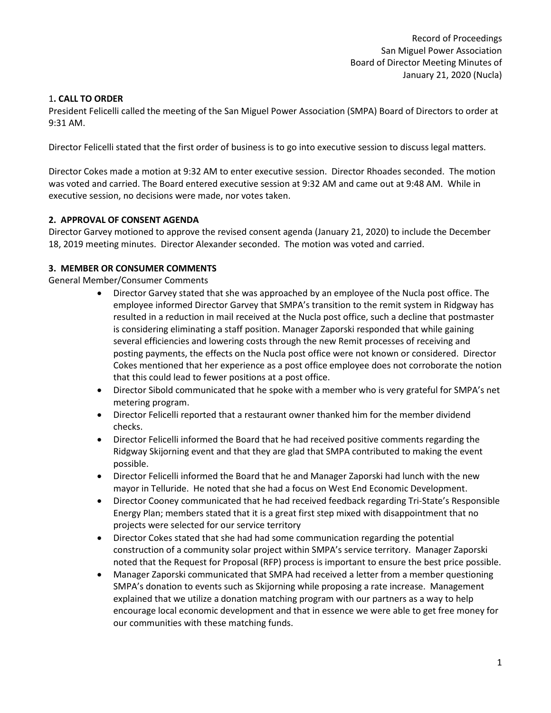# 1**. CALL TO ORDER**

President Felicelli called the meeting of the San Miguel Power Association (SMPA) Board of Directors to order at 9:31 AM.

Director Felicelli stated that the first order of business is to go into executive session to discuss legal matters.

Director Cokes made a motion at 9:32 AM to enter executive session. Director Rhoades seconded. The motion was voted and carried. The Board entered executive session at 9:32 AM and came out at 9:48 AM. While in executive session, no decisions were made, nor votes taken.

# **2. APPROVAL OF CONSENT AGENDA**

Director Garvey motioned to approve the revised consent agenda (January 21, 2020) to include the December 18, 2019 meeting minutes. Director Alexander seconded. The motion was voted and carried.

## **3. MEMBER OR CONSUMER COMMENTS**

General Member/Consumer Comments

- Director Garvey stated that she was approached by an employee of the Nucla post office. The employee informed Director Garvey that SMPA's transition to the remit system in Ridgway has resulted in a reduction in mail received at the Nucla post office, such a decline that postmaster is considering eliminating a staff position. Manager Zaporski responded that while gaining several efficiencies and lowering costs through the new Remit processes of receiving and posting payments, the effects on the Nucla post office were not known or considered. Director Cokes mentioned that her experience as a post office employee does not corroborate the notion that this could lead to fewer positions at a post office.
- Director Sibold communicated that he spoke with a member who is very grateful for SMPA's net metering program.
- Director Felicelli reported that a restaurant owner thanked him for the member dividend checks.
- Director Felicelli informed the Board that he had received positive comments regarding the Ridgway Skijorning event and that they are glad that SMPA contributed to making the event possible.
- Director Felicelli informed the Board that he and Manager Zaporski had lunch with the new mayor in Telluride. He noted that she had a focus on West End Economic Development.
- Director Cooney communicated that he had received feedback regarding Tri-State's Responsible Energy Plan; members stated that it is a great first step mixed with disappointment that no projects were selected for our service territory
- Director Cokes stated that she had had some communication regarding the potential construction of a community solar project within SMPA's service territory. Manager Zaporski noted that the Request for Proposal (RFP) process is important to ensure the best price possible.
- Manager Zaporski communicated that SMPA had received a letter from a member questioning SMPA's donation to events such as Skijorning while proposing a rate increase. Management explained that we utilize a donation matching program with our partners as a way to help encourage local economic development and that in essence we were able to get free money for our communities with these matching funds.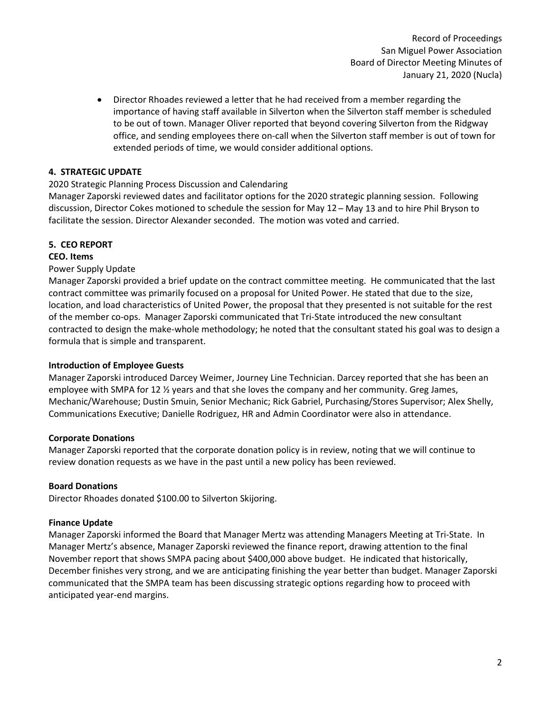Record of Proceedings San Miguel Power Association Board of Director Meeting Minutes of January 21, 2020 (Nucla)

• Director Rhoades reviewed a letter that he had received from a member regarding the importance of having staff available in Silverton when the Silverton staff member is scheduled to be out of town. Manager Oliver reported that beyond covering Silverton from the Ridgway office, and sending employees there on-call when the Silverton staff member is out of town for extended periods of time, we would consider additional options.

## **4. STRATEGIC UPDATE**

## 2020 Strategic Planning Process Discussion and Calendaring

Manager Zaporski reviewed dates and facilitator options for the 2020 strategic planning session. Following discussion, Director Cokes motioned to schedule the session for May 12 – May 13 and to hire Phil Bryson to facilitate the session. Director Alexander seconded. The motion was voted and carried.

# **5. CEO REPORT**

## **CEO. Items**

## Power Supply Update

Manager Zaporski provided a brief update on the contract committee meeting. He communicated that the last contract committee was primarily focused on a proposal for United Power. He stated that due to the size, location, and load characteristics of United Power, the proposal that they presented is not suitable for the rest of the member co-ops. Manager Zaporski communicated that Tri-State introduced the new consultant contracted to design the make-whole methodology; he noted that the consultant stated his goal was to design a formula that is simple and transparent.

## **Introduction of Employee Guests**

Manager Zaporski introduced Darcey Weimer, Journey Line Technician. Darcey reported that she has been an employee with SMPA for 12 ½ years and that she loves the company and her community. Greg James, Mechanic/Warehouse; Dustin Smuin, Senior Mechanic; Rick Gabriel, Purchasing/Stores Supervisor; Alex Shelly, Communications Executive; Danielle Rodriguez, HR and Admin Coordinator were also in attendance.

## **Corporate Donations**

Manager Zaporski reported that the corporate donation policy is in review, noting that we will continue to review donation requests as we have in the past until a new policy has been reviewed.

## **Board Donations**

Director Rhoades donated \$100.00 to Silverton Skijoring.

## **Finance Update**

Manager Zaporski informed the Board that Manager Mertz was attending Managers Meeting at Tri-State. In Manager Mertz's absence, Manager Zaporski reviewed the finance report, drawing attention to the final November report that shows SMPA pacing about \$400,000 above budget. He indicated that historically, December finishes very strong, and we are anticipating finishing the year better than budget. Manager Zaporski communicated that the SMPA team has been discussing strategic options regarding how to proceed with anticipated year-end margins.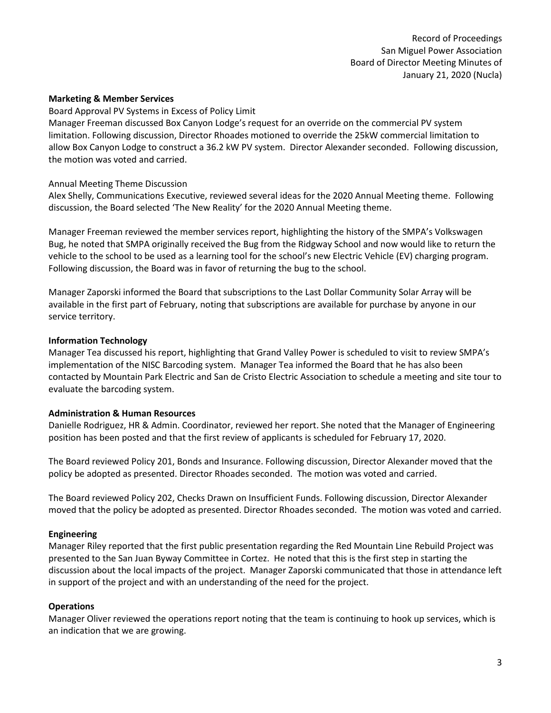#### **Marketing & Member Services**

Board Approval PV Systems in Excess of Policy Limit

Manager Freeman discussed Box Canyon Lodge's request for an override on the commercial PV system limitation. Following discussion, Director Rhoades motioned to override the 25kW commercial limitation to allow Box Canyon Lodge to construct a 36.2 kW PV system. Director Alexander seconded. Following discussion, the motion was voted and carried.

#### Annual Meeting Theme Discussion

Alex Shelly, Communications Executive, reviewed several ideas for the 2020 Annual Meeting theme. Following discussion, the Board selected 'The New Reality' for the 2020 Annual Meeting theme.

Manager Freeman reviewed the member services report, highlighting the history of the SMPA's Volkswagen Bug, he noted that SMPA originally received the Bug from the Ridgway School and now would like to return the vehicle to the school to be used as a learning tool for the school's new Electric Vehicle (EV) charging program. Following discussion, the Board was in favor of returning the bug to the school.

Manager Zaporski informed the Board that subscriptions to the Last Dollar Community Solar Array will be available in the first part of February, noting that subscriptions are available for purchase by anyone in our service territory.

#### **Information Technology**

Manager Tea discussed his report, highlighting that Grand Valley Power is scheduled to visit to review SMPA's implementation of the NISC Barcoding system. Manager Tea informed the Board that he has also been contacted by Mountain Park Electric and San de Cristo Electric Association to schedule a meeting and site tour to evaluate the barcoding system.

## **Administration & Human Resources**

Danielle Rodriguez, HR & Admin. Coordinator, reviewed her report. She noted that the Manager of Engineering position has been posted and that the first review of applicants is scheduled for February 17, 2020.

The Board reviewed Policy 201, Bonds and Insurance. Following discussion, Director Alexander moved that the policy be adopted as presented. Director Rhoades seconded. The motion was voted and carried.

The Board reviewed Policy 202, Checks Drawn on Insufficient Funds. Following discussion, Director Alexander moved that the policy be adopted as presented. Director Rhoades seconded. The motion was voted and carried.

## **Engineering**

Manager Riley reported that the first public presentation regarding the Red Mountain Line Rebuild Project was presented to the San Juan Byway Committee in Cortez. He noted that this is the first step in starting the discussion about the local impacts of the project. Manager Zaporski communicated that those in attendance left in support of the project and with an understanding of the need for the project.

## **Operations**

Manager Oliver reviewed the operations report noting that the team is continuing to hook up services, which is an indication that we are growing.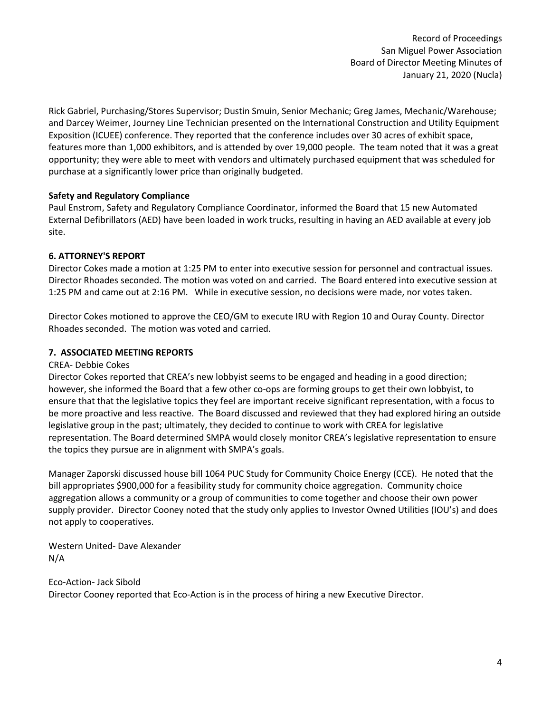Record of Proceedings San Miguel Power Association Board of Director Meeting Minutes of January 21, 2020 (Nucla)

Rick Gabriel, Purchasing/Stores Supervisor; Dustin Smuin, Senior Mechanic; Greg James, Mechanic/Warehouse; and Darcey Weimer, Journey Line Technician presented on the International Construction and Utility Equipment Exposition (ICUEE) conference. They reported that the conference includes over 30 acres of exhibit space, features more than 1,000 exhibitors, and is attended by over 19,000 people. The team noted that it was a great opportunity; they were able to meet with vendors and ultimately purchased equipment that was scheduled for purchase at a significantly lower price than originally budgeted.

## **Safety and Regulatory Compliance**

Paul Enstrom, Safety and Regulatory Compliance Coordinator, informed the Board that 15 new Automated External Defibrillators (AED) have been loaded in work trucks, resulting in having an AED available at every job site.

# **6. ATTORNEY'S REPORT**

Director Cokes made a motion at 1:25 PM to enter into executive session for personnel and contractual issues. Director Rhoades seconded. The motion was voted on and carried. The Board entered into executive session at 1:25 PM and came out at 2:16 PM. While in executive session, no decisions were made, nor votes taken.

Director Cokes motioned to approve the CEO/GM to execute IRU with Region 10 and Ouray County. Director Rhoades seconded. The motion was voted and carried.

# **7. ASSOCIATED MEETING REPORTS**

## CREA- Debbie Cokes

Director Cokes reported that CREA's new lobbyist seems to be engaged and heading in a good direction; however, she informed the Board that a few other co-ops are forming groups to get their own lobbyist, to ensure that that the legislative topics they feel are important receive significant representation, with a focus to be more proactive and less reactive. The Board discussed and reviewed that they had explored hiring an outside legislative group in the past; ultimately, they decided to continue to work with CREA for legislative representation. The Board determined SMPA would closely monitor CREA's legislative representation to ensure the topics they pursue are in alignment with SMPA's goals.

Manager Zaporski discussed house bill 1064 PUC Study for Community Choice Energy (CCE). He noted that the bill appropriates \$900,000 for a feasibility study for community choice aggregation. Community choice aggregation allows a community or a group of communities to come together and choose their own power supply provider. Director Cooney noted that the study only applies to Investor Owned Utilities (IOU's) and does not apply to cooperatives.

Western United- Dave Alexander N/A

Eco-Action- Jack Sibold Director Cooney reported that Eco-Action is in the process of hiring a new Executive Director.